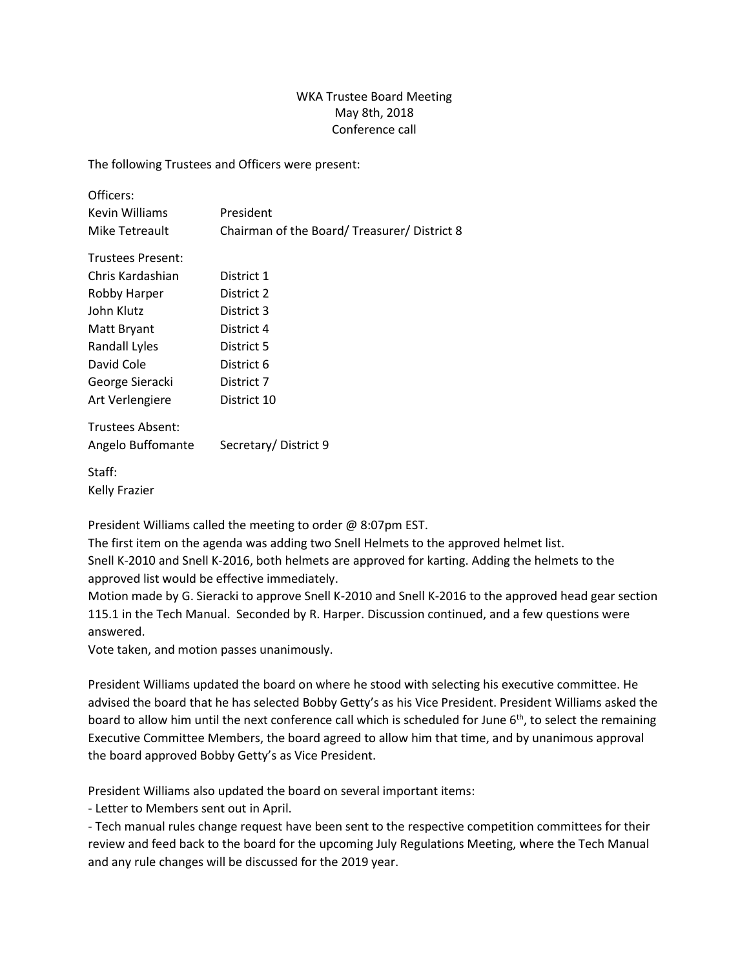## WKA Trustee Board Meeting May 8th, 2018 Conference call

The following Trustees and Officers were present:

| Officers:                |                                            |
|--------------------------|--------------------------------------------|
| Kevin Williams           | President                                  |
| Mike Tetreault           | Chairman of the Board/Treasurer/District 8 |
| <b>Trustees Present:</b> |                                            |
| Chris Kardashian         | District 1                                 |
| Robby Harper             | District 2                                 |
| John Klutz               | District 3                                 |
| Matt Bryant              | District 4                                 |
| Randall Lyles            | District 5                                 |
| David Cole               | District 6                                 |
| George Sieracki          | District 7                                 |
| Art Verlengiere          | District 10                                |
| Trustees Absent:         |                                            |
| Angelo Buffomante        | Secretary/District 9                       |
| Staff:                   |                                            |
| Kelly Frazier            |                                            |
|                          |                                            |

President Williams called the meeting to order @ 8:07pm EST.

The first item on the agenda was adding two Snell Helmets to the approved helmet list. Snell K-2010 and Snell K-2016, both helmets are approved for karting. Adding the helmets to the approved list would be effective immediately.

Motion made by G. Sieracki to approve Snell K-2010 and Snell K-2016 to the approved head gear section 115.1 in the Tech Manual. Seconded by R. Harper. Discussion continued, and a few questions were answered.

Vote taken, and motion passes unanimously.

President Williams updated the board on where he stood with selecting his executive committee. He advised the board that he has selected Bobby Getty's as his Vice President. President Williams asked the board to allow him until the next conference call which is scheduled for June  $6<sup>th</sup>$ , to select the remaining Executive Committee Members, the board agreed to allow him that time, and by unanimous approval the board approved Bobby Getty's as Vice President.

President Williams also updated the board on several important items:

- Letter to Members sent out in April.

- Tech manual rules change request have been sent to the respective competition committees for their review and feed back to the board for the upcoming July Regulations Meeting, where the Tech Manual and any rule changes will be discussed for the 2019 year.